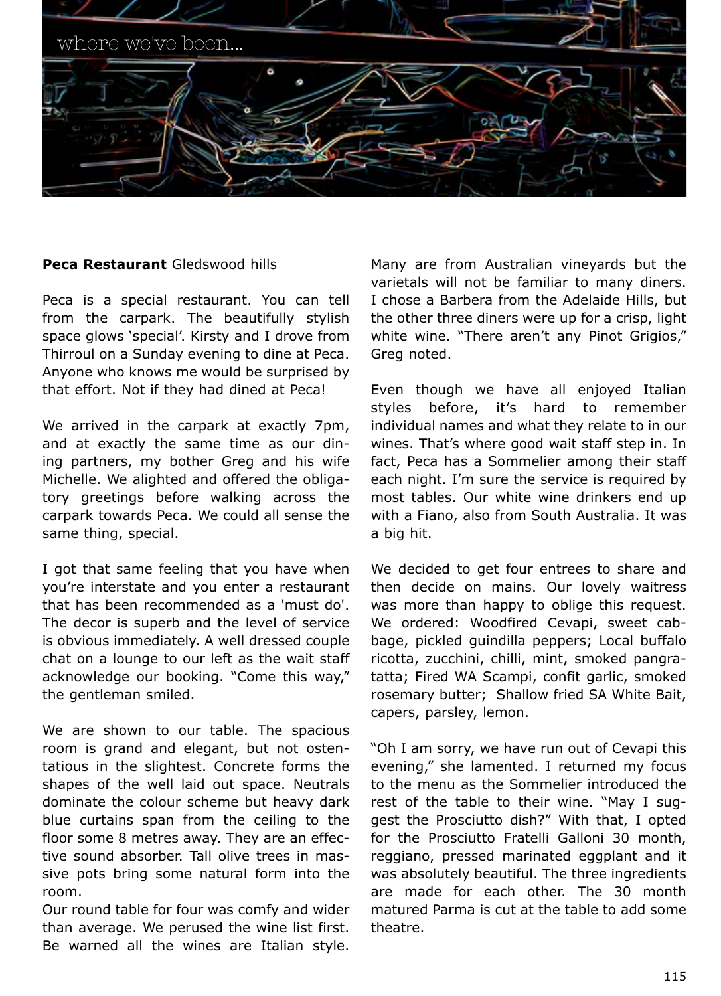

## **Peca Restaurant** Gledswood hills

Peca is a special restaurant. You can tell from the carpark. The beautifully stylish space glows 'special'. Kirsty and I drove from Thirroul on a Sunday evening to dine at Peca. Anyone who knows me would be surprised by that effort. Not if they had dined at Peca!

We arrived in the carpark at exactly 7pm, and at exactly the same time as our dining partners, my bother Greg and his wife Michelle. We alighted and offered the obligatory greetings before walking across the carpark towards Peca. We could all sense the same thing, special.

I got that same feeling that you have when you're interstate and you enter a restaurant that has been recommended as a 'must do'. The decor is superb and the level of service is obvious immediately. A well dressed couple chat on a lounge to our left as the wait staff acknowledge our booking. "Come this way," the gentleman smiled.

We are shown to our table. The spacious room is grand and elegant, but not ostentatious in the slightest. Concrete forms the shapes of the well laid out space. Neutrals dominate the colour scheme but heavy dark blue curtains span from the ceiling to the floor some 8 metres away. They are an effective sound absorber. Tall olive trees in massive pots bring some natural form into the room.

Our round table for four was comfy and wider than average. We perused the wine list first. Be warned all the wines are Italian style.

Many are from Australian vineyards but the varietals will not be familiar to many diners. I chose a Barbera from the Adelaide Hills, but the other three diners were up for a crisp, light white wine. "There aren't any Pinot Grigios," Greg noted.

Even though we have all enjoyed Italian styles before, it's hard to remember individual names and what they relate to in our wines. That's where good wait staff step in. In fact, Peca has a Sommelier among their staff each night. I'm sure the service is required by most tables. Our white wine drinkers end up with a Fiano, also from South Australia. It was a big hit.

We decided to get four entrees to share and then decide on mains. Our lovely waitress was more than happy to oblige this request. We ordered: Woodfired Cevapi, sweet cabbage, pickled guindilla peppers; Local buffalo ricotta, zucchini, chilli, mint, smoked pangratatta; Fired WA Scampi, confit garlic, smoked rosemary butter; Shallow fried SA White Bait, capers, parsley, lemon.

"Oh I am sorry, we have run out of Cevapi this evening," she lamented. I returned my focus to the menu as the Sommelier introduced the rest of the table to their wine. "May I suggest the Prosciutto dish?" With that, I opted for the Prosciutto Fratelli Galloni 30 month, reggiano, pressed marinated eggplant and it was absolutely beautiful. The three ingredients are made for each other. The 30 month matured Parma is cut at the table to add some theatre.